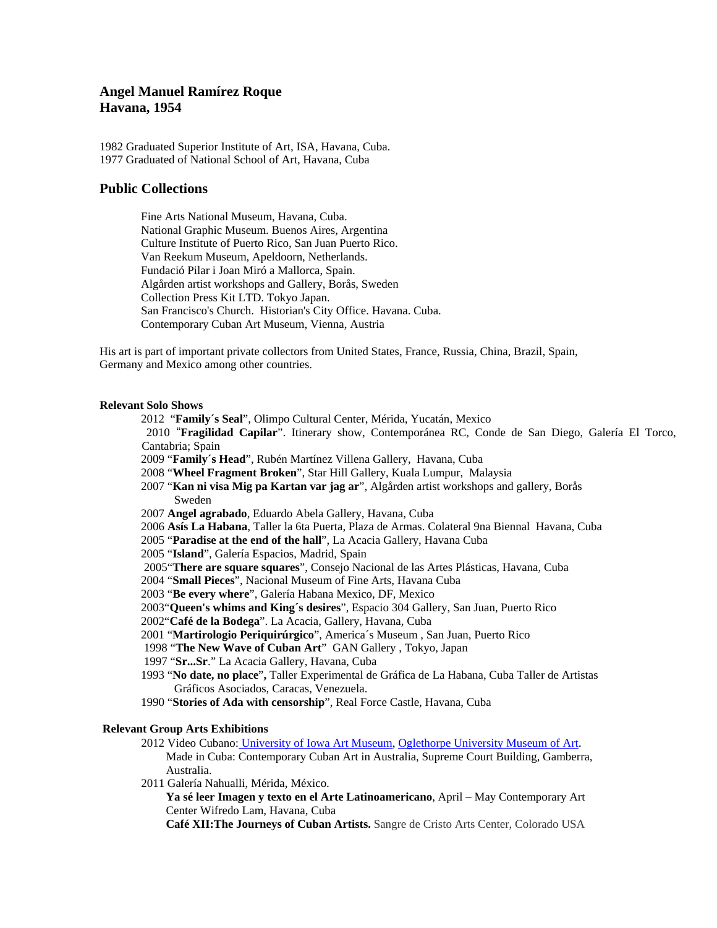# **Angel Manuel Ramírez Roque Havana, 1954**

1982 Graduated Superior Institute of Art, ISA, Havana, Cuba. 1977 Graduated of National School of Art, Havana, Cuba

### **Public Collections**

Fine Arts National Museum, Havana, Cuba. National Graphic Museum. Buenos Aires, Argentina Culture Institute of Puerto Rico, San Juan Puerto Rico. Van Reekum Museum, Apeldoorn, Netherlands. Fundació Pilar i Joan Miró a Mallorca, Spain. Algården artist workshops and Gallery, Borås, Sweden Collection Press Kit LTD. Tokyo Japan. San Francisco's Church. Historian's City Office. Havana. Cuba. Contemporary Cuban Art Museum, Vienna, Austria

His art is part of important private collectors from United States, France, Russia, China, Brazil, Spain, Germany and Mexico among other countries.

#### **Relevant Solo Shows**

2012 "**Family´s Seal**", Olimpo Cultural Center, Mérida, Yucatán, Mexico

 2010 "**Fragilidad Capilar**". Itinerary show, Contemporánea RC, Conde de San Diego, Galería El Torco, Cantabria; Spain

- 2009 "**Family´s Head**", Rubén Martínez Villena Gallery, Havana, Cuba
- 2008 "**Wheel Fragment Broken**", Star Hill Gallery, Kuala Lumpur, Malaysia
- 2007 "**Kan ni visa Mig pa Kartan var jag ar**", Algården artist workshops and gallery, Borås Sweden
- 2007 **Angel agrabado**, Eduardo Abela Gallery, Havana, Cuba

2006 **Asís La Habana**, Taller la 6ta Puerta, Plaza de Armas. Colateral 9na Biennal Havana, Cuba

- 2005 "**Paradise at the end of the hall**", La Acacia Gallery, Havana Cuba
- 2005 "**Island**", Galería Espacios, Madrid, Spain
- 2005"**There are square squares**", Consejo Nacional de las Artes Plásticas, Havana, Cuba
- 2004 "**Small Pieces**", Nacional Museum of Fine Arts, Havana Cuba
- 2003 "**Be every where**", Galería Habana Mexico, DF, Mexico
- 2003"**Queen's whims and King´s desires**", Espacio 304 Gallery, San Juan, Puerto Rico
- 2002"**Café de la Bodega**". La Acacia, Gallery, Havana, Cuba
- 2001 "**Martirologio Periquirúrgico**", America´s Museum , San Juan, Puerto Rico
- 1998 "**The New Wave of Cuban Art**" GAN Gallery , Tokyo, Japan
- 1997 "**Sr...Sr**." La Acacia Gallery, Havana, Cuba
- 1993 "**No date, no place**"**,** Taller Experimental de Gráfica de La Habana, Cuba Taller de Artistas Gráficos Asociados, Caracas, Venezuela.
- 1990 "**Stories of Ada with censorship**", Real Force Castle, Havana, Cuba

#### **Relevant Group Arts Exhibitions**

- 2012 Video Cubano: University of Iowa Art Museum, Oglethorpe University Museum of Art. Made in Cuba: Contemporary Cuban Art in Australia, Supreme Court Building, Gamberra, Australia.
- 2011 Galería Nahualli, Mérida, México.

**Ya sé leer Imagen y texto en el Arte Latinoamericano**, April – May Contemporary Art Center Wifredo Lam, Havana, Cuba

**Café XII:The Journeys of Cuban Artists.** Sangre de Cristo Arts Center, Colorado USA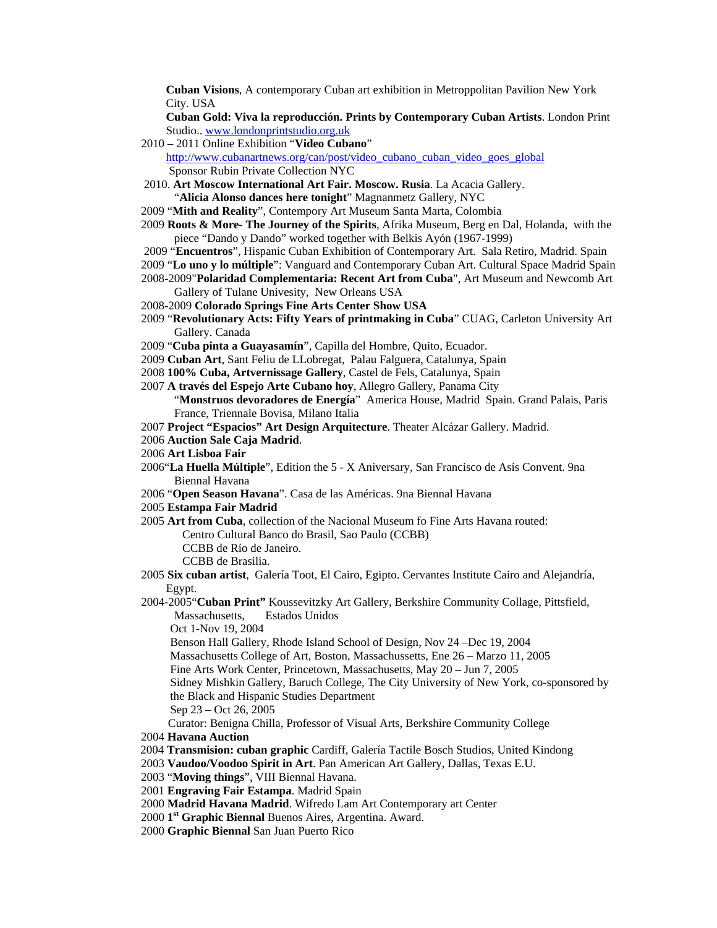**Cuban Visions**, A contemporary Cuban art exhibition in Metroppolitan Pavilion New York City. USA

**Cuban Gold: Viva la reproducción. Prints by Contemporary Cuban Artists**. London Print Studio.. www.londonprintstudio.org.uk

2010 – 2011 Online Exhibition "**Video Cubano**"

http://www.cubanartnews.org/can/post/video\_cubano\_cuban\_video\_goes\_global Sponsor Rubin Private Collection NYC

 2010. **Art Moscow International Art Fair. Moscow. Rusia**. La Acacia Gallery. "**Alicia Alonso dances here tonight**" Magnanmetz Gallery, NYC

2009 "**Mith and Reality**", Contempory Art Museum Santa Marta, Colombia

- 2009 **Roots & More- The Journey of the Spirits**, Afrika Museum, Berg en Dal, Holanda, with the piece "Dando y Dando" worked together with Belkis Ayón (1967-1999)
- 2009 "**Encuentros**", Hispanic Cuban Exhibition of Contemporary Art. Sala Retiro, Madrid. Spain
- 2009 "**Lo uno y lo múltiple**": Vanguard and Contemporary Cuban Art. Cultural Space Madrid Spain
- 2008-2009"**Polaridad Complementaria: Recent Art from Cuba**", Art Museum and Newcomb Art Gallery of Tulane Univesity, New Orleans USA
- 2008-2009 **Colorado Springs Fine Arts Center Show USA**
- 2009 "**Revolutionary Acts: Fifty Years of printmaking in Cuba**" CUAG, Carleton University Art Gallery. Canada
- 2009 "**Cuba pinta a Guayasamín**", Capilla del Hombre, Quito, Ecuador.
- 2009 **Cuban Art**, Sant Feliu de LLobregat, Palau Falguera, Catalunya, Spain
- 2008 **100% Cuba, Artvernissage Gallery**, Castel de Fels, Catalunya, Spain
- 2007 **A través del Espejo Arte Cubano hoy**, Allegro Gallery, Panama City "**Monstruos devoradores de Energía**" America House, Madrid Spain. Grand Palais, Paris France, Triennale Bovisa, Milano Italia
- 2007 **Project "Espacios" Art Design Arquitecture**. Theater Alcázar Gallery. Madrid.

2006 **Auction Sale Caja Madrid**.

- 2006 **Art Lisboa Fair**
- 2006"**La Huella Múltiple**", Edition the 5 X Aniversary, San Francisco de Asís Convent. 9na Biennal Havana
- 2006 "**Open Season Havana**". Casa de las Américas. 9na Biennal Havana
- 2005 **Estampa Fair Madrid**

2005 **Art from Cuba**, collection of the Nacional Museum fo Fine Arts Havana routed:

Centro Cultural Banco do Brasil, Sao Paulo (CCBB)

CCBB de Río de Janeiro.

CCBB de Brasilia.

2005 **Six cuban artist**, Galería Toot, El Cairo, Egipto. Cervantes Institute Cairo and Alejandría, Egypt.

2004-2005"**Cuban Print"** Koussevitzky Art Gallery, Berkshire Community Collage, Pittsfield, Massachusetts, Estados Unidos

Oct 1-Nov 19, 2004

Benson Hall Gallery, Rhode Island School of Design, Nov 24 –Dec 19, 2004

Massachusetts College of Art, Boston, Massachussetts, Ene 26 – Marzo 11, 2005

Fine Arts Work Center, Princetown, Massachusetts, May 20 – Jun 7, 2005

Sidney Mishkin Gallery, Baruch College, The City University of New York, co-sponsored by the Black and Hispanic Studies Department

Sep 23 – Oct 26, 2005

Curator: Benigna Chilla, Professor of Visual Arts, Berkshire Community College

- 2004 **Havana Auction**
- 2004 **Transmision: cuban graphic** Cardiff, Galería Tactile Bosch Studios, United Kindong

2003 **Vaudoo/Voodoo Spirit in Art**. Pan American Art Gallery, Dallas, Texas E.U.

- 2003 "**Moving things**", VIII Biennal Havana.
- 2001 **Engraving Fair Estampa**. Madrid Spain
- 2000 **Madrid Havana Madrid**. Wifredo Lam Art Contemporary art Center
- 2000 **1st Graphic Biennal** Buenos Aires, Argentina. Award.
- 2000 **Graphic Biennal** San Juan Puerto Rico